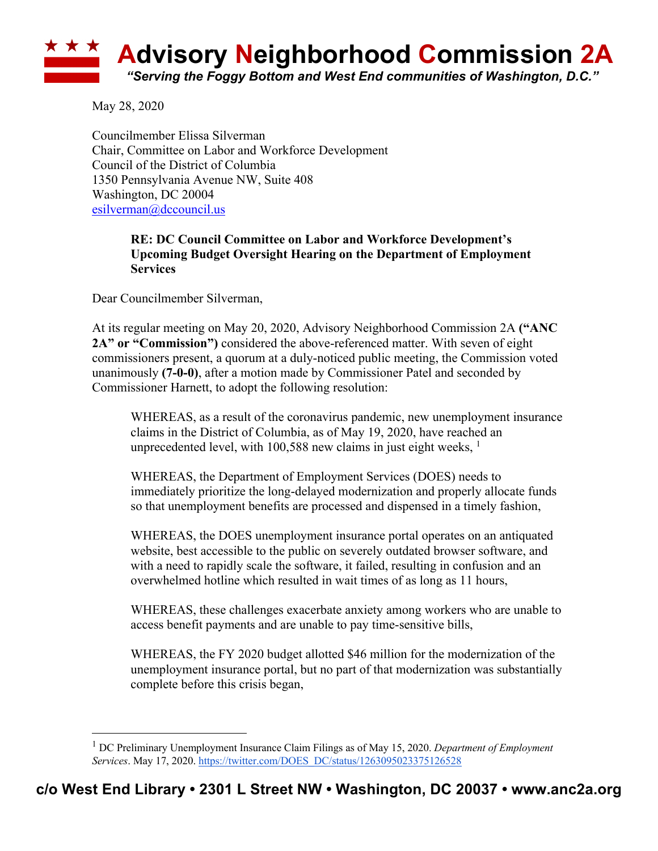

May 28, 2020

Councilmember Elissa Silverman Chair, Committee on Labor and Workforce Development Council of the District of Columbia 1350 Pennsylvania Avenue NW, Suite 408 Washington, DC 20004 esilverman@dccouncil.us

## **RE: DC Council Committee on Labor and Workforce Development's Upcoming Budget Oversight Hearing on the Department of Employment Services**

Dear Councilmember Silverman,

At its regular meeting on May 20, 2020, Advisory Neighborhood Commission 2A **("ANC 2A" or "Commission")** considered the above-referenced matter. With seven of eight commissioners present, a quorum at a duly-noticed public meeting, the Commission voted unanimously **(7-0-0)**, after a motion made by Commissioner Patel and seconded by Commissioner Harnett, to adopt the following resolution:

WHEREAS, as a result of the coronavirus pandemic, new unemployment insurance claims in the District of Columbia, as of May 19, 2020, have reached an unprecedented level, with  $100,588$  new claims in just eight weeks,  $<sup>1</sup>$ </sup>

WHEREAS, the Department of Employment Services (DOES) needs to immediately prioritize the long-delayed modernization and properly allocate funds so that unemployment benefits are processed and dispensed in a timely fashion,

WHEREAS, the DOES unemployment insurance portal operates on an antiquated website, best accessible to the public on severely outdated browser software, and with a need to rapidly scale the software, it failed, resulting in confusion and an overwhelmed hotline which resulted in wait times of as long as 11 hours,

WHEREAS, these challenges exacerbate anxiety among workers who are unable to access benefit payments and are unable to pay time-sensitive bills,

WHEREAS, the FY 2020 budget allotted \$46 million for the modernization of the unemployment insurance portal, but no part of that modernization was substantially complete before this crisis began,

<sup>1</sup> DC Preliminary Unemployment Insurance Claim Filings as of May 15, 2020. *Department of Employment Services*. May 17, 2020. https://twitter.com/DOES\_DC/status/1263095023375126528